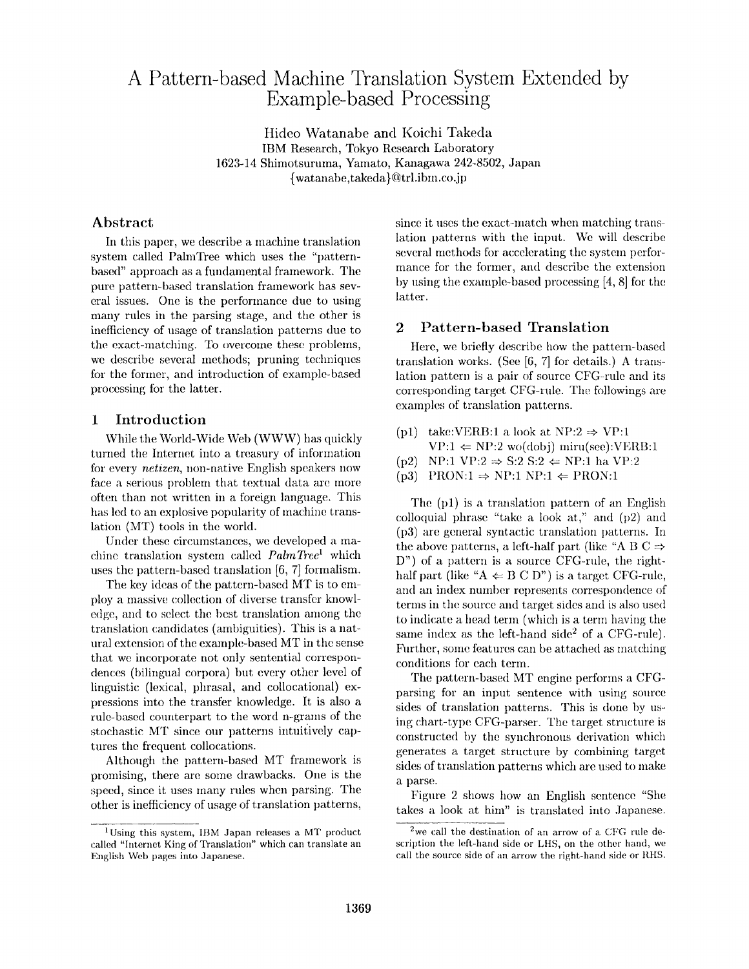# **A Pattern-based Machine Translation System Extended by Example-based Processing**

Hideo Watanabe and Koichi Takeda IBM Research, Tokyo Research Laboratory 1623-14 Shimotsuruma, Yamato, Kanagawa 242-8502, Japan {watanabe,takeda}@trl.ibm.co.jp

## Abstract

In this paper, we describe a machine translation system called PalmTree which uses the "patternbased" approach as a fundamental framework. The pure pattern-based translation framework has several issues. One is the performance due to using many rules in the parsing stage, and the other is inetficiency of usage of translation patterns due to the exact-nmtching. To overcome these problems, we describe several methods; pruning techniques for the former, and introduction of example-based processing for the latter.

## **1** Introduction

While the World-Wide Web (WWW) has quickly turned the Internet into a treasury of information for every *netizen,* non-native English speakers now face a serious problem that textual data are more often than not written in a foreign hmguage. This has led to an explosive popularity of machine translation (MT) tools in the world.

Under these circumstances, we developed a machine translation system called *PalmTree*<sup>1</sup> which uses the pattern-based translation [6, 7] formalism.

The key ideas of the pattern-based MT is to employ a massive collection of diverse transfer knowledge, and to select the best translation among the translation candidates (ambiguities). This is a natural extension of the example-based MT in the sense that we incorporate not only sentential correspondences (bilingual corpora) but every other level of linguistic (lexical, phrasal, and collocational) expressions into the transfer knowledge. It is also a rule-based counterpart to the word n-grams of the stochastic MT since our patterns intuitively captures the frequent collocations.

Although the pattern-based MT framework is promising, there are some drawbacks. One is the speed, since it uses many rules when parsing. The other is inefficiency of usage of translation patterns,

since it uses the exact-match when matching translation patterns with the input. We will describe several methods for accelerating the system performance for the former, and describe the extension by using the example-based processing  $[4, 8]$  for the latter.

## **2** Pattern-based Translation

Here, we briefly describe how the pattern-based translation works. (See [6, 7] for details.) A translation pattern is a pair of source CFG-rule and its corresponding target CFG-rule. The followings are examples of translation patterns.

- (p1) take:VERB:1 a look at NP:2  $\Rightarrow$  VP:1  $VP:1 \Leftarrow NP:2 \text{ wo(dobi)} \text{miru(see)}: VERB:1$
- $(p2)$  NP:1 VP:2  $\Rightarrow$  S:2 S:2  $\Leftarrow$  NP:1 ha VP:2
- $(p3)$  PRON:1  $\Rightarrow$  NP:1 NP:1  $\Leftarrow$  PRON:1

The  $(p1)$  is a translation pattern of an English colloquial phrase "take a look  $at$ ," and (p2) and (p3) are general syntactic translation patterns. In the above patterns, a left-half part (like "A B C  $\Rightarrow$  $D$ ") of a pattern is a source CFG-rule, the righthalf part (like "A  $\Leftarrow$  B C D") is a target CFG-rule, and an index number represents correspondence of terms in the source and target sides and is also used to indicate a head term (which is a term having the same index as the left-hand side<sup>2</sup> of a CFG-rule). Further, some features can be attached as matching conditions for each term.

The pattern-based MT engine performs a CFGparsing for an input sentence with using source sides of translation patterns. This is done by using chart-type CFG-parser. The target structure is constructed by the synchronous derivation which generates a target structure by combining target sides of translation patterns which are used to make a parse.

Figure 2 shows how an English sentence "She takes a look at him" is translated into Japanese.

<sup>&</sup>lt;sup>1</sup>Using this system, IBM Japan releases a MT product called "Internet King of Translation" which can translate an English Web pages into Japanese.

 $2$ we call the destination of an arrow of a CFG rule description the left-hand side or LHS, on the other hand, we call the source side of an arrow the right-hand side or RHS.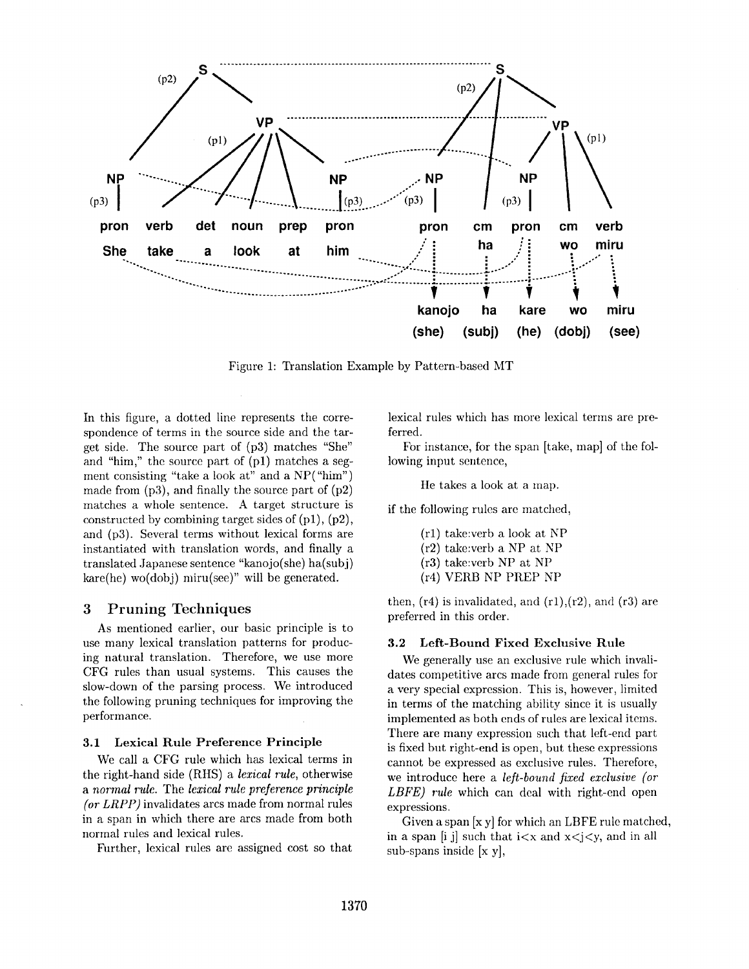

Figure 1: Translation Example by Pattern-based MT

In this figure, a dotted line represents the correspondence of terms in the source side and the target side. The source part of (p3) matches "She" and "him," the source part of  $(p1)$  matches a segment consisting "take a look at" and a NP("him") made from  $(p3)$ , and finally the source part of  $(p2)$ matches a whole sentence. A target structure is constructed by combining target sides of  $(p1)$ ,  $(p2)$ , and (p3). Several terms without lexical forms are instantiated with translation words, and finally a translated Japanese sentence "kanojo(she) ha(subj)  $kare(he)$  wo $(dobj)$  miru(see)" will be generated.

#### **Pruning Techniques** 3

As mentioned earlier, our basic principle is to use many lexical translation patterns for producing natural translation. Therefore, we use more CFG rules than usual systems. This causes the slow-down of the parsing process. We introduced the following pruning techniques for improving the performance.

#### 3.1 Lexical Rule Preference Principle

We call a CFG rule which has lexical terms in the right-hand side (RHS) a lexical rule, otherwise a normal rule. The lexical rule preference principle (or  $LRPP$ ) invalidates arcs made from normal rules in a span in which there are arcs made from both normal rules and lexical rules.

Further, lexical rules are assigned cost so that

lexical rules which has more lexical terms are preferred.

For instance, for the span [take, map] of the following input sentence,

He takes a look at a map.

if the following rules are matched,

- $(r1)$  take: verb a look at NP  $(r2)$  take: verb a NP at NP  $(r3)$  take: verb NP at NP
- (r4) VERB NP PREP NP
- then,  $(r4)$  is invalidated, and  $(r1)$ ,  $(r2)$ , and  $(r3)$  are preferred in this order.

#### $3.2$ Left-Bound Fixed Exclusive Rule

We generally use an exclusive rule which invalidates competitive arcs made from general rules for a very special expression. This is, however, limited in terms of the matching ability since it is usually implemented as both ends of rules are lexical items. There are many expression such that left-end part is fixed but right-end is open, but these expressions cannot be expressed as exclusive rules. Therefore, we introduce here a *left-bound fixed exclusive (or* LBFE) rule which can deal with right-end open expressions.

Given a span [x y] for which an LBFE rule matched, in a span [i j] such that  $i < x$  and  $x < j < y$ , and in all sub-spans inside  $[x, y]$ ,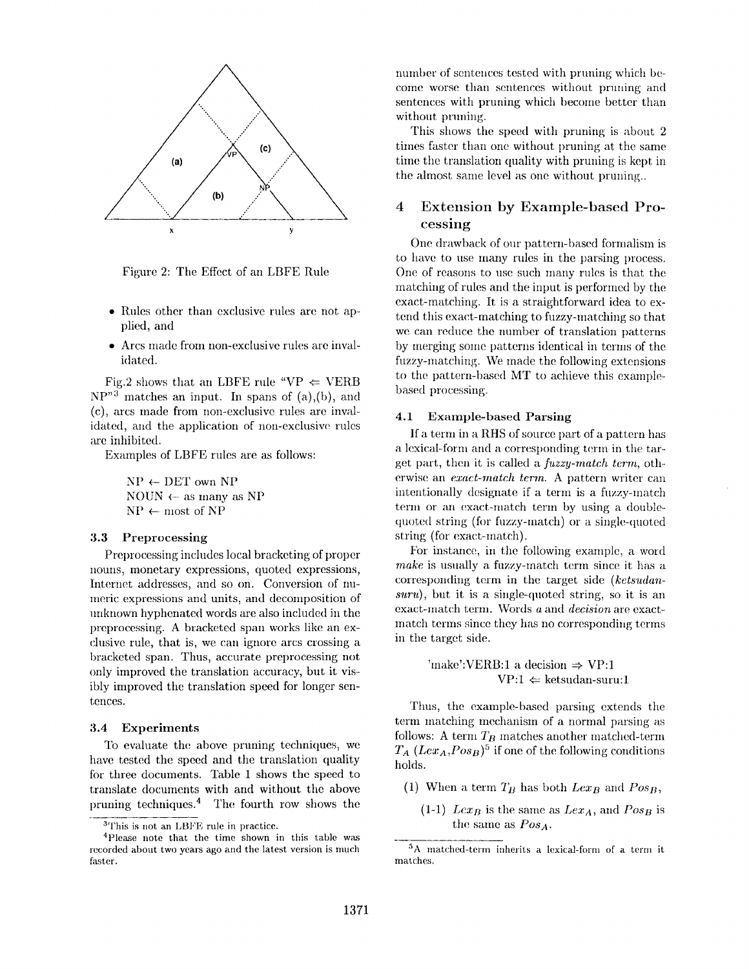

Figure 2: The Effect of an LBFE Rule

- Rules other than exclusive rules are not applied, and
- $\bullet$  Arcs made from non-exclusive rules are invalidated.

Fig.2 shows that an LBFE rule "VP  $\Leftarrow$  VERB  $NP''^3$  matches an input. In spans of (a),(b), and (c), arcs made from non-exclusive rules are invalidated, and the application of non-exclusive rules are inhibited.

Examples of LBFE rules are as follows:

 $NP \leftarrow DET$  own NP NOUN  $\leftarrow$  as many as NP  $NP \leftarrow most of NP$ 

## **3.3 Preproeessing**

Preprocessing includes local bracketing of proper nouns, monetary expressions, quoted expressions, Internet addresses, and so on. Conversion of numeric expressions and units, and decomposition of unknown hyphenated words are also included in the preproeessing. A bracketed span works like an exclusive rule, that is, we can ignore arcs crossing a bracketed span. Thus, accurate preprocessing not only improved the translation accuracy, but it visibly improved the translation speed for longer sentences.

### **3.4 Experiments**

To evahlate the above pruning techniques, we have tested the speed and the translation quality for three documents. Table 1 shows the speed to translate documents with and without the above pruning techniques.<sup>4</sup> The fourth row shows the number of sentences tested with pruning which become worse than sentences without pruning and sentences with pruning which become better than without pruning.

This shows the speed with pruning is about 2 times faster than one without pruning at the same time the translation quality with pruning is kept in the almost same level as one without pruning..

## 4 Extension by Example-based Processing

One drawback of our pattern-based formalism is to have to use many rules in the parsing process. One of reasons to use such many rules is that the matching of rules and the input is performed by the exact-matching. It is a straightforward idea to extend this exact-matching to fuzzy-matching so that we can reduce the number of translation patterns by merging some patterns identical in terms of the fuzzy-matching. We made the following extensions to the pattern-based MT to achieve this examplebased processing.

#### **4.1 Example-based Parsing**

If a term in a RHS of source part of a pattern has a lexical-form and a corresponding term in the target part, then it is called a *fuzzy-match term,* otherwise an *exact-match term*. A pattern writer can intentionally designate if a term is a fuzzy-match term or an exact-match term by using a doublequoted string (for fuzzy-match) or a single-quoted string (for exact-match).

For instance, in the following example, a word *make* is usually a fuzzy-match term since it has a corresponding term in the target side *(kctsudansuru),* but it is a single-quoted string, so it is an exact-match term. Words a and *decision* are exactmatch terms since they has no corresponding terms in the target side.

> 'make':VERB:1 a decision  $\Rightarrow$  VP:1  $VP:1 \leftarrow$  ketsudan-suru:1

Thus, the example-based parsing extends the term matching mechanism of a normal parsing as follows: A term  $T_B$  matches another matched-term  $T_A (Lex_A, Pos_B)^5$  if one of the following conditions holds.

- (1) When a term  $T_B$  has both  $Lex_B$  and  $Pos_B$ ,
	- $(1-1)$  *Lex<sub>B</sub>* is the same as *Lex<sub>A</sub>*, and *Pos<sub>B</sub>* is the same as  $Pos_A$ .

<sup>3</sup>This **is** not an LBFE rule in practice.

<sup>4</sup>Please note that the time shown in this table was recorded about two years ago and the latest version is much faster.

<sup>5</sup>A matched-term inherits a lexical-form of a term it matches.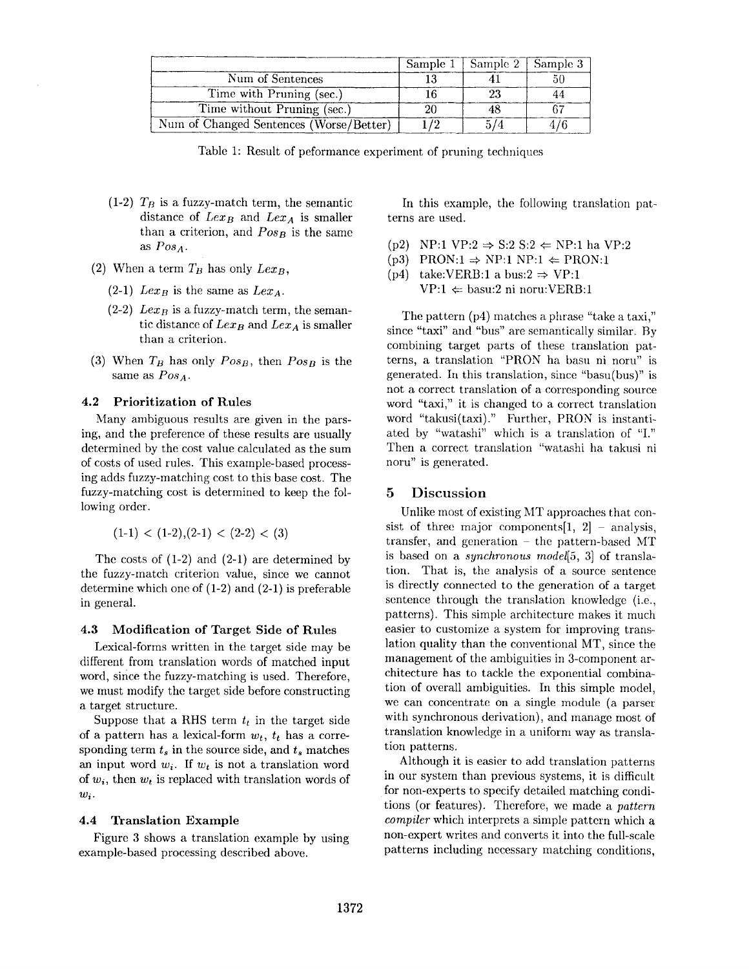|                                         | Sample 1 | Sample $2 \mid$ Sample 3 |  |
|-----------------------------------------|----------|--------------------------|--|
| Num of Sentences                        |          |                          |  |
| Time with Pruning (sec.)                |          |                          |  |
| Time without Pruning (sec.)             |          |                          |  |
| Num of Changed Sentences (Worse/Better) |          |                          |  |

Table 1: Result of peformance experiment of pruning techniques

- (1-2)  $T_B$  is a fuzzy-match term, the semantic distance of  $Lex_B$  and  $Lex_A$  is smaller than a criterion, and  $Pos_B$  is the same *as Pos a .*
- (2) When a term  $T_B$  has only  $Lex_B$ ,
	- $(2-1)$  *Lex<sub>B</sub>* is the same as *Lex<sub>A</sub>*.
	- $(2-2)$  *Lex<sub>B</sub>* is a fuzzy-match term, the semantic distance of  $Lex_B$  and  $Lex_A$  is smaller than a criterion.
- (3) When *TB* has only *Posp,* then *POsB* is the same as *POSA.*

### **4.2 Prioritization of Rules**

Many ambiguous results are given in the parsing, and the preference of these results are usually determined by the cost value calculated as the sum of costs of used rules. This example-based processing adds fuzzy-matching cost to this base cost. The fuzzy-matching cost is determined to keep the following order.

 $(1-1) < (1-2), (2-1) < (2-2) < (3)$ 

The costs of  $(1-2)$  and  $(2-1)$  are determined by the fuzzy-match criterion value, since we cannot determine which one of (1-2) and (2-1) is preferable in general.

#### 4.3 Modification of Target Side of Rules

Lexical-forms written in the target side may be different from translation words of matched input word, since the fuzzy-matching is used. Therefore, we must modify the target side before constructing a target structure.

Suppose that a RHS term  $t_t$  in the target side of a pattern has a lexical-form  $w_t$ ,  $t_t$  has a corresponding term  $t_s$  in the source side, and  $t_s$  matches an input word  $w_i$ . If  $w_t$  is not a translation word of  $w_i$ , then  $w_t$  is replaced with translation words of *Wi.* 

## **4.4 Translation Example**

Figure 3 shows a translation example by using example-based processing described above.

In this example, the following translation patterns are used.

- (p2) NP:1 VP:2  $\Rightarrow$  S:2 S:2  $\Leftarrow$  NP:1 ha VP:2
- $(p3)$  PRON:1  $\Rightarrow$  NP:1 NP:1  $\Leftarrow$  PRON:1
- (p4) take:VERB:1 a bus:2  $\Rightarrow$  VP:1

 $VP:1 \Leftrightarrow$  basu:2 ni noru:VERB:1

The pattern (p4) matches a phrase "take a taxi," since "taxi" and "bus" are semantically similar. By combining target parts of these translation patterns, a translation "PRON ha basu ni noru" is generated. In this translation, since "basu(bus)" is not a correct translation of a corresponding source word "taxi," it is changed to a correct translation word "takusi(taxi)." Further, PRON is instantiated by "watashi" which is a translation of "I." Then a correct translation "watashi ha takusi ni noru" is generated.

## 5 Discussion

Unlike most of existing MT approaches that consist of three major components  $[1, 2]$  - analysis, transfer, and generation  $-$  the pattern-based MT is based on a *synchronous model[5,* 3] of translation. That is, the analysis of a source sentence is directly connected to the generation of a target sentence through the translation knowledge (i.e., patterns). This simple architecture makes it much easier to customize a system for improving translation quality than the conventional MT, since the management of the ambiguities in 3-component architecture has to tackle the exponential combination of overall ambiguities. In this simple model, we can concentrate on a single module (a parser with synchronous derivation), and manage most of translation knowledge in a uniform way as translation patterns.

Although it is easier to add translation patterns in our system than previous systems, it is difficult for non-experts to specify detailed matching conditions (or features). Therefore, we made a *pattern compiler* which interprets a simple pattern which a non-expert writes and converts it into the full-scale patterns including necessary matching conditions,